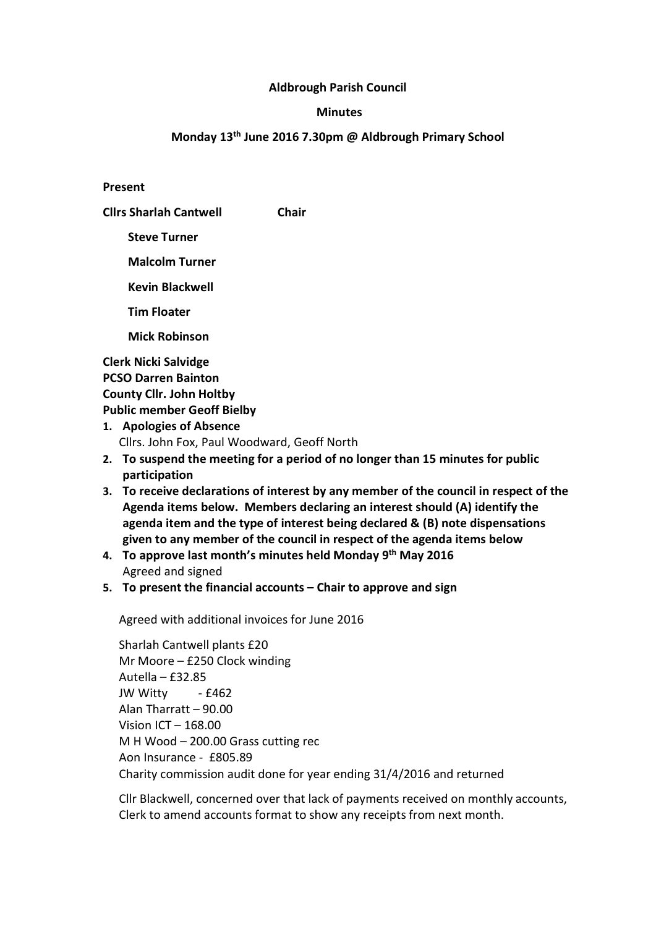## Aldbrough Parish Council

### **Minutes**

## Monday 13th June 2016 7.30pm @ Aldbrough Primary School

Present

Cllrs Sharlah Cantwell Chair

Steve Turner

Malcolm Turner

Kevin Blackwell

Tim Floater

Mick Robinson

Clerk Nicki Salvidge PCSO Darren Bainton County Cllr. John Holtby Public member Geoff Bielby

- 1. Apologies of Absence Cllrs. John Fox, Paul Woodward, Geoff North
- 2. To suspend the meeting for a period of no longer than 15 minutes for public participation
- 3. To receive declarations of interest by any member of the council in respect of the Agenda items below. Members declaring an interest should (A) identify the agenda item and the type of interest being declared & (B) note dispensations given to any member of the council in respect of the agenda items below
- 4. To approve last month's minutes held Monday  $9<sup>th</sup>$  May 2016 Agreed and signed
- 5. To present the financial accounts Chair to approve and sign

Agreed with additional invoices for June 2016

 Sharlah Cantwell plants £20 Mr Moore – £250 Clock winding Autella – £32.85 JW Witty - £462 Alan Tharratt – 90.00 Vision ICT – 168.00 M H Wood – 200.00 Grass cutting rec Aon Insurance - £805.89 Charity commission audit done for year ending 31/4/2016 and returned

Cllr Blackwell, concerned over that lack of payments received on monthly accounts, Clerk to amend accounts format to show any receipts from next month.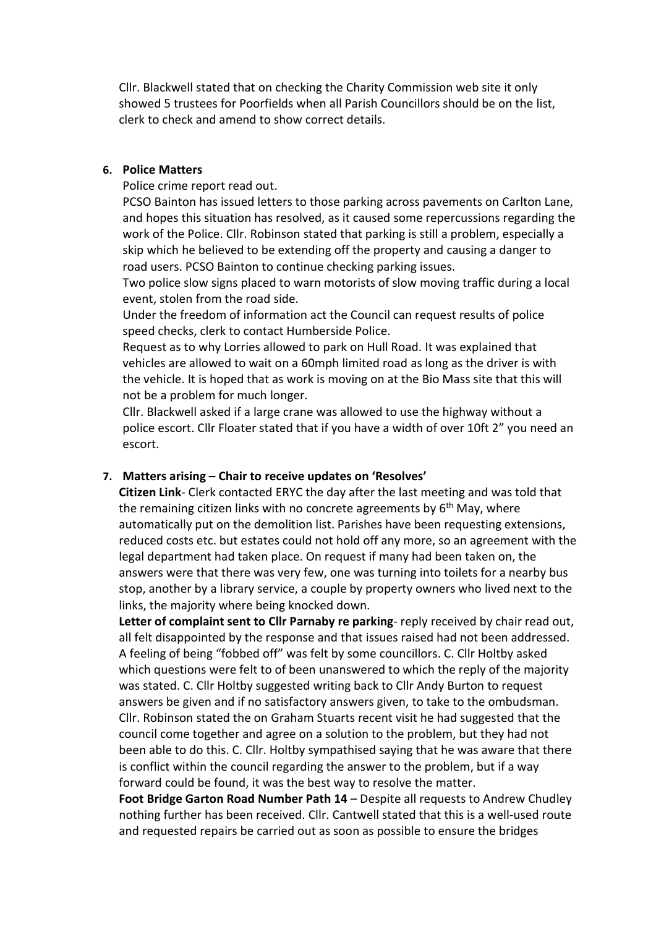Cllr. Blackwell stated that on checking the Charity Commission web site it only showed 5 trustees for Poorfields when all Parish Councillors should be on the list, clerk to check and amend to show correct details.

## 6. Police Matters

Police crime report read out.

PCSO Bainton has issued letters to those parking across pavements on Carlton Lane, and hopes this situation has resolved, as it caused some repercussions regarding the work of the Police. Cllr. Robinson stated that parking is still a problem, especially a skip which he believed to be extending off the property and causing a danger to road users. PCSO Bainton to continue checking parking issues.

Two police slow signs placed to warn motorists of slow moving traffic during a local event, stolen from the road side.

Under the freedom of information act the Council can request results of police speed checks, clerk to contact Humberside Police.

Request as to why Lorries allowed to park on Hull Road. It was explained that vehicles are allowed to wait on a 60mph limited road as long as the driver is with the vehicle. It is hoped that as work is moving on at the Bio Mass site that this will not be a problem for much longer.

Cllr. Blackwell asked if a large crane was allowed to use the highway without a police escort. Cllr Floater stated that if you have a width of over 10ft 2" you need an escort.

## 7. Matters arising – Chair to receive updates on 'Resolves'

Citizen Link- Clerk contacted ERYC the day after the last meeting and was told that the remaining citizen links with no concrete agreements by  $6<sup>th</sup>$  May, where automatically put on the demolition list. Parishes have been requesting extensions, reduced costs etc. but estates could not hold off any more, so an agreement with the legal department had taken place. On request if many had been taken on, the answers were that there was very few, one was turning into toilets for a nearby bus stop, another by a library service, a couple by property owners who lived next to the links, the majority where being knocked down.

Letter of complaint sent to Cllr Parnaby re parking- reply received by chair read out, all felt disappointed by the response and that issues raised had not been addressed. A feeling of being "fobbed off" was felt by some councillors. C. Cllr Holtby asked which questions were felt to of been unanswered to which the reply of the majority was stated. C. Cllr Holtby suggested writing back to Cllr Andy Burton to request answers be given and if no satisfactory answers given, to take to the ombudsman. Cllr. Robinson stated the on Graham Stuarts recent visit he had suggested that the council come together and agree on a solution to the problem, but they had not been able to do this. C. Cllr. Holtby sympathised saying that he was aware that there is conflict within the council regarding the answer to the problem, but if a way forward could be found, it was the best way to resolve the matter.

Foot Bridge Garton Road Number Path 14 – Despite all requests to Andrew Chudley nothing further has been received. Cllr. Cantwell stated that this is a well-used route and requested repairs be carried out as soon as possible to ensure the bridges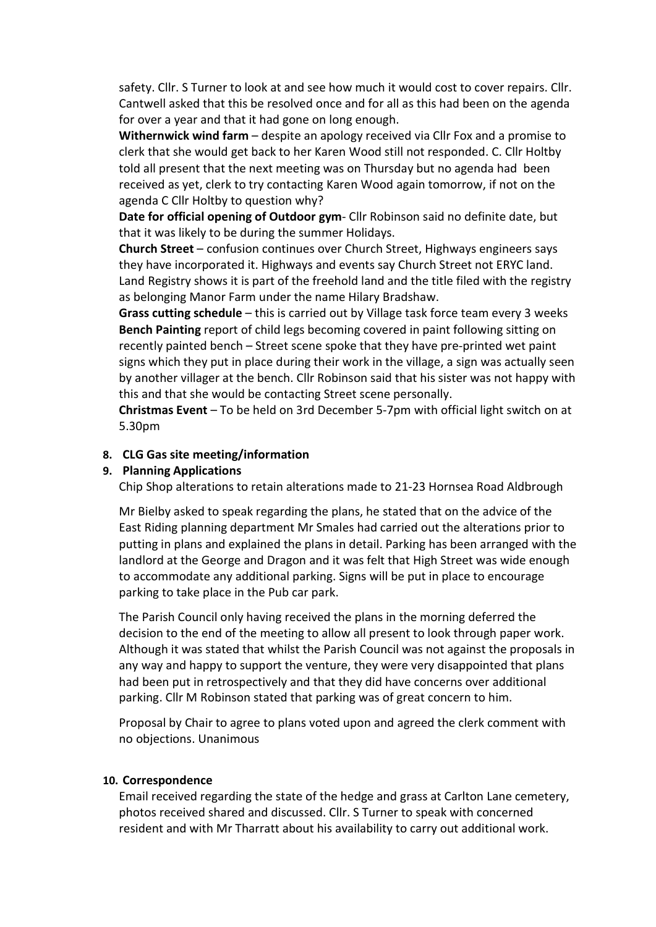safety. Cllr. S Turner to look at and see how much it would cost to cover repairs. Cllr. Cantwell asked that this be resolved once and for all as this had been on the agenda for over a year and that it had gone on long enough.

Withernwick wind farm – despite an apology received via Cllr Fox and a promise to clerk that she would get back to her Karen Wood still not responded. C. Cllr Holtby told all present that the next meeting was on Thursday but no agenda had been received as yet, clerk to try contacting Karen Wood again tomorrow, if not on the agenda C Cllr Holtby to question why?

Date for official opening of Outdoor gym- Cllr Robinson said no definite date, but that it was likely to be during the summer Holidays.

Church Street – confusion continues over Church Street, Highways engineers says they have incorporated it. Highways and events say Church Street not ERYC land. Land Registry shows it is part of the freehold land and the title filed with the registry as belonging Manor Farm under the name Hilary Bradshaw.

Grass cutting schedule – this is carried out by Village task force team every 3 weeks Bench Painting report of child legs becoming covered in paint following sitting on recently painted bench – Street scene spoke that they have pre-printed wet paint signs which they put in place during their work in the village, a sign was actually seen by another villager at the bench. Cllr Robinson said that his sister was not happy with this and that she would be contacting Street scene personally.

Christmas Event – To be held on 3rd December 5-7pm with official light switch on at 5.30pm

## 8. CLG Gas site meeting/information

#### 9. Planning Applications

Chip Shop alterations to retain alterations made to 21-23 Hornsea Road Aldbrough

Mr Bielby asked to speak regarding the plans, he stated that on the advice of the East Riding planning department Mr Smales had carried out the alterations prior to putting in plans and explained the plans in detail. Parking has been arranged with the landlord at the George and Dragon and it was felt that High Street was wide enough to accommodate any additional parking. Signs will be put in place to encourage parking to take place in the Pub car park.

The Parish Council only having received the plans in the morning deferred the decision to the end of the meeting to allow all present to look through paper work. Although it was stated that whilst the Parish Council was not against the proposals in any way and happy to support the venture, they were very disappointed that plans had been put in retrospectively and that they did have concerns over additional parking. Cllr M Robinson stated that parking was of great concern to him.

Proposal by Chair to agree to plans voted upon and agreed the clerk comment with no objections. Unanimous

#### 10. Correspondence

Email received regarding the state of the hedge and grass at Carlton Lane cemetery, photos received shared and discussed. Cllr. S Turner to speak with concerned resident and with Mr Tharratt about his availability to carry out additional work.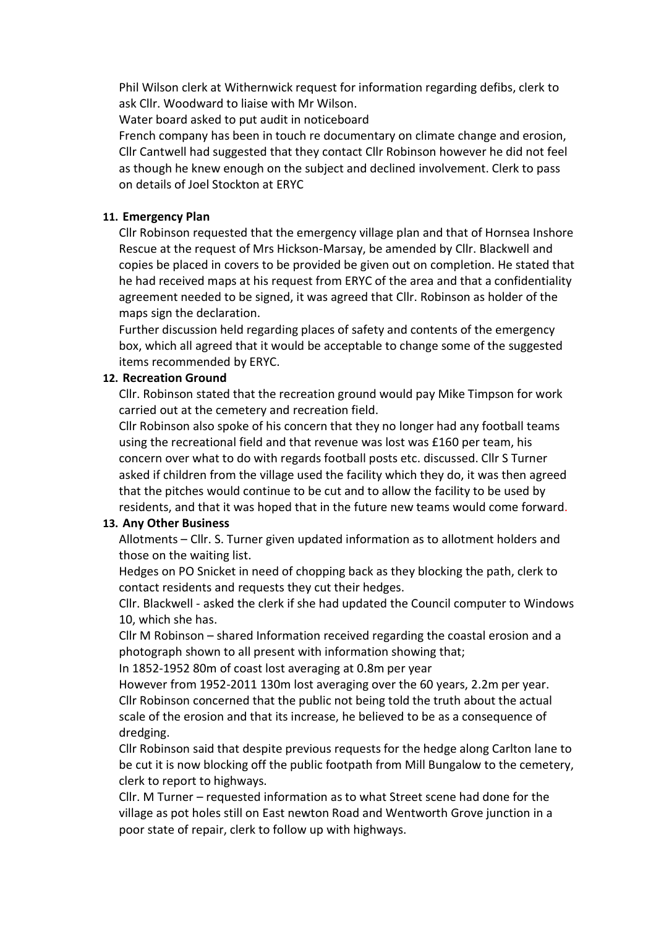Phil Wilson clerk at Withernwick request for information regarding defibs, clerk to ask Cllr. Woodward to liaise with Mr Wilson.

Water board asked to put audit in noticeboard

French company has been in touch re documentary on climate change and erosion, Cllr Cantwell had suggested that they contact Cllr Robinson however he did not feel as though he knew enough on the subject and declined involvement. Clerk to pass on details of Joel Stockton at ERYC

## 11. Emergency Plan

Cllr Robinson requested that the emergency village plan and that of Hornsea Inshore Rescue at the request of Mrs Hickson-Marsay, be amended by Cllr. Blackwell and copies be placed in covers to be provided be given out on completion. He stated that he had received maps at his request from ERYC of the area and that a confidentiality agreement needed to be signed, it was agreed that Cllr. Robinson as holder of the maps sign the declaration.

Further discussion held regarding places of safety and contents of the emergency box, which all agreed that it would be acceptable to change some of the suggested items recommended by ERYC.

## 12. Recreation Ground

Cllr. Robinson stated that the recreation ground would pay Mike Timpson for work carried out at the cemetery and recreation field.

Cllr Robinson also spoke of his concern that they no longer had any football teams using the recreational field and that revenue was lost was £160 per team, his concern over what to do with regards football posts etc. discussed. Cllr S Turner asked if children from the village used the facility which they do, it was then agreed that the pitches would continue to be cut and to allow the facility to be used by residents, and that it was hoped that in the future new teams would come forward.

# 13. Any Other Business

Allotments – Cllr. S. Turner given updated information as to allotment holders and those on the waiting list.

Hedges on PO Snicket in need of chopping back as they blocking the path, clerk to contact residents and requests they cut their hedges.

Cllr. Blackwell - asked the clerk if she had updated the Council computer to Windows 10, which she has.

Cllr M Robinson – shared Information received regarding the coastal erosion and a photograph shown to all present with information showing that;

In 1852-1952 80m of coast lost averaging at 0.8m per year

However from 1952-2011 130m lost averaging over the 60 years, 2.2m per year. Cllr Robinson concerned that the public not being told the truth about the actual scale of the erosion and that its increase, he believed to be as a consequence of dredging.

Cllr Robinson said that despite previous requests for the hedge along Carlton lane to be cut it is now blocking off the public footpath from Mill Bungalow to the cemetery, clerk to report to highways.

Cllr. M Turner – requested information as to what Street scene had done for the village as pot holes still on East newton Road and Wentworth Grove junction in a poor state of repair, clerk to follow up with highways.